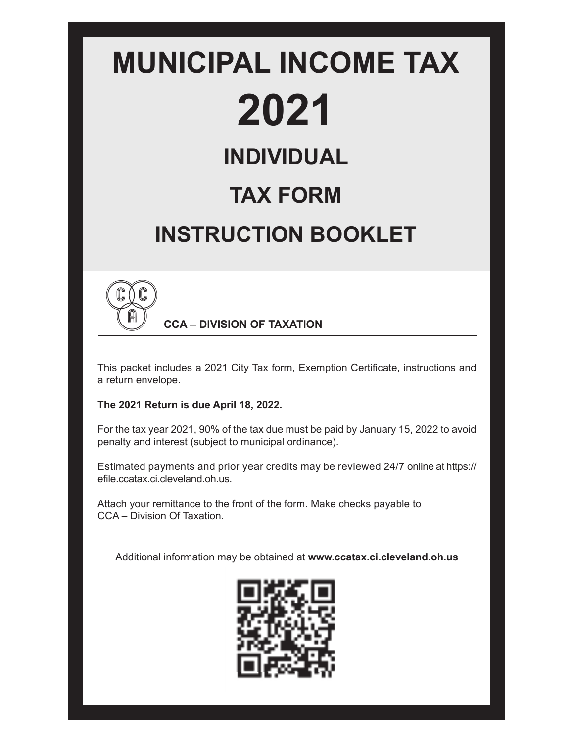# **MUNICIPAL INCOME TAX 2021 INDIVIDUAL TAX FORM INSTRUCTION BOOKLET**



**CCA – DIVISION OF TAXATION**

This packet includes a 2021 City Tax form, Exemption Certificate, instructions and a return envelope.

#### **The 2021 Return is due April 18, 2022.**

For the tax year 2021, 90% of the tax due must be paid by January 15, 2022 to avoid penalty and interest (subject to municipal ordinance).

Estimated payments and prior year credits may be reviewed 24/7 online at https:// efile.ccatax.ci.cleveland.oh.us.

Attach your remittance to the front of the form. Make checks payable to CCA – Division Of Taxation.

Additional information may be obtained at **www.ccatax.ci.cleveland.oh.us**

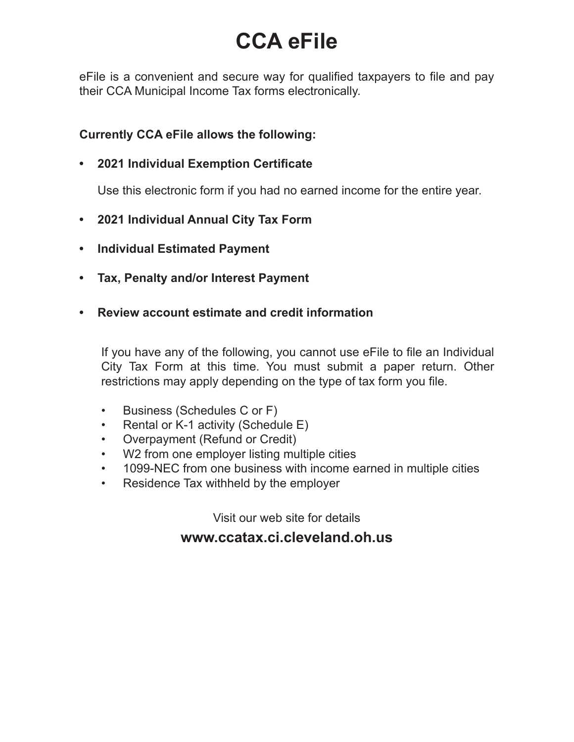# **CCA eFile**

eFile is a convenient and secure way for qualified taxpayers to file and pay their CCA Municipal Income Tax forms electronically.

#### **Currently CCA eFile allows the following:**

#### **• 2021 Individual Exemption Certificate**

Use this electronic form if you had no earned income for the entire year.

- **2021 Individual Annual City Tax Form**
- **Individual Estimated Payment**
- **Tax, Penalty and/or Interest Payment**
- **Review account estimate and credit information**

If you have any of the following, you cannot use eFile to file an Individual City Tax Form at this time. You must submit a paper return. Other restrictions may apply depending on the type of tax form you file.

- Business (Schedules C or F)
- Rental or K-1 activity (Schedule E)
- Overpayment (Refund or Credit)
- W2 from one employer listing multiple cities
- 1099-NEC from one business with income earned in multiple cities
- Residence Tax withheld by the employer

Visit our web site for details

# **www.ccatax.ci.cleveland.oh.us**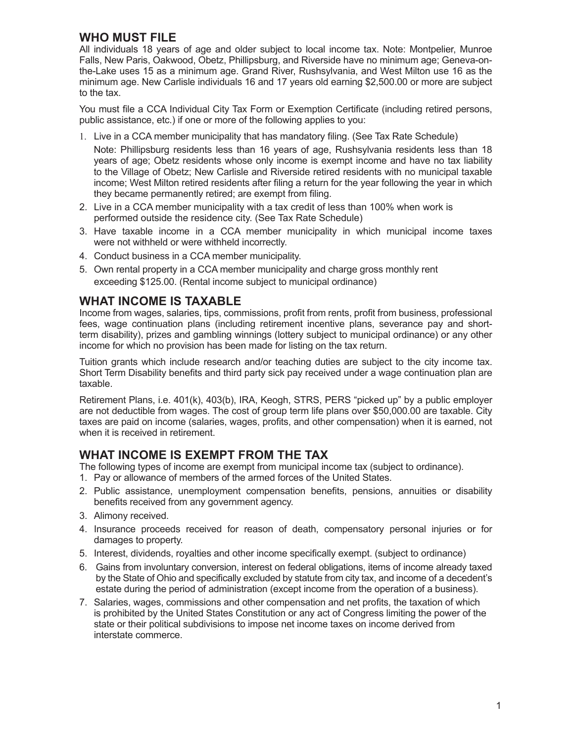#### **WHO MUST FILE**

All individuals 18 years of age and older subject to local income tax. Note: Montpelier, Munroe Falls, New Paris, Oakwood, Obetz, Phillipsburg, and Riverside have no minimum age; Geneva-onthe-Lake uses 15 as a minimum age. Grand River, Rushsylvania, and West Milton use 16 as the minimum age. New Carlisle individuals 16 and 17 years old earning \$2,500.00 or more are subject to the tax.

You must file a CCA Individual City Tax Form or Exemption Certificate (including retired persons, public assistance, etc.) if one or more of the following applies to you:

1. Live in a CCA member municipality that has mandatory filing. (See Tax Rate Schedule)

Note: Phillipsburg residents less than 16 years of age, Rushsylvania residents less than 18 years of age; Obetz residents whose only income is exempt income and have no tax liability to the Village of Obetz; New Carlisle and Riverside retired residents with no municipal taxable income; West Milton retired residents after filing a return for the year following the year in which they became permanently retired; are exempt from filing.

- 2. Live in a CCA member municipality with a tax credit of less than 100% when work is performed outside the residence city. (See Tax Rate Schedule)
- 3. Have taxable income in a CCA member municipality in which municipal income taxes were not withheld or were withheld incorrectly.
- 4. Conduct business in a CCA member municipality.
- 5. Own rental property in a CCA member municipality and charge gross monthly rent exceeding \$125.00. (Rental income subject to municipal ordinance)

#### **WHAT INCOME IS TAXABLE**

Income from wages, salaries, tips, commissions, profit from rents, profit from business, professional fees, wage continuation plans (including retirement incentive plans, severance pay and shortterm disability), prizes and gambling winnings (lottery subject to municipal ordinance) or any other income for which no provision has been made for listing on the tax return.

Tuition grants which include research and/or teaching duties are subject to the city income tax. Short Term Disability benefits and third party sick pay received under a wage continuation plan are taxable.

Retirement Plans, i.e. 401(k), 403(b), IRA, Keogh, STRS, PERS "picked up" by a public employer are not deductible from wages. The cost of group term life plans over \$50,000.00 are taxable. City taxes are paid on income (salaries, wages, profits, and other compensation) when it is earned, not when it is received in retirement.

#### **WHAT INCOME IS EXEMPT FROM THE TAX**

The following types of income are exempt from municipal income tax (subject to ordinance).

- 1. Pay or allowance of members of the armed forces of the United States.
- 2. Public assistance, unemployment compensation benefits, pensions, annuities or disability benefits received from any government agency.
- 3. Alimony received.
- 4. Insurance proceeds received for reason of death, compensatory personal injuries or for damages to property.
- 5. Interest, dividends, royalties and other income specifically exempt. (subject to ordinance)
- 6. Gains from involuntary conversion, interest on federal obligations, items of income already taxed by the State of Ohio and specifically excluded by statute from city tax, and income of a decedent's estate during the period of administration (except income from the operation of a business).
- 7. Salaries, wages, commissions and other compensation and net profits, the taxation of which is prohibited by the United States Constitution or any act of Congress limiting the power of the state or their political subdivisions to impose net income taxes on income derived from interstate commerce.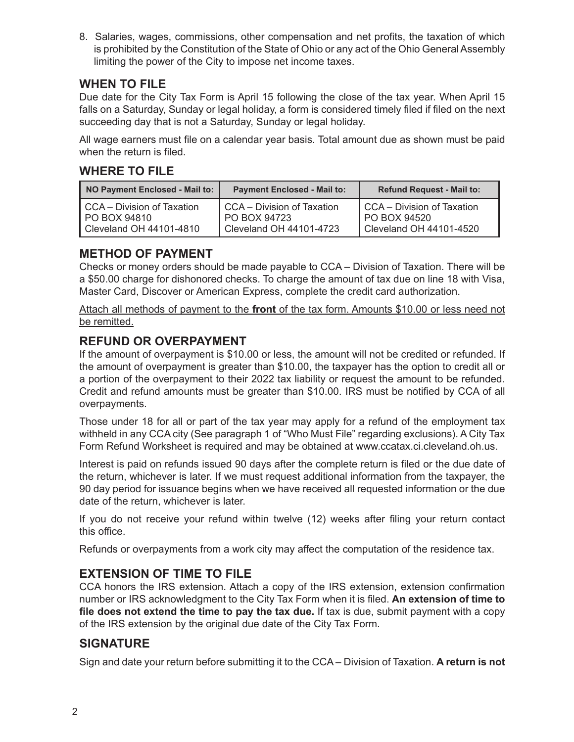8. Salaries, wages, commissions, other compensation and net profits, the taxation of which is prohibited by the Constitution of the State of Ohio or any act of the Ohio General Assembly limiting the power of the City to impose net income taxes.

#### **WHEN TO FILE**

Due date for the City Tax Form is April 15 following the close of the tax year. When April 15 falls on a Saturday, Sunday or legal holiday, a form is considered timely filed if filed on the next succeeding day that is not a Saturday, Sunday or legal holiday.

All wage earners must file on a calendar year basis. Total amount due as shown must be paid when the return is filed

#### **WHERE TO FILE**

| NO Payment Enclosed - Mail to: | <b>Payment Enclosed - Mail to:</b> | <b>Refund Request - Mail to:</b> |  |  |
|--------------------------------|------------------------------------|----------------------------------|--|--|
| CCA - Division of Taxation     | CCA - Division of Taxation         | CCA - Division of Taxation       |  |  |
| PO BOX 94810                   | PO BOX 94723                       | PO BOX 94520                     |  |  |
| Cleveland OH 44101-4810        | Cleveland OH 44101-4723            | Cleveland OH 44101-4520          |  |  |

### **METHOD OF PAYMENT**

Checks or money orders should be made payable to CCA – Division of Taxation. There will be a \$50.00 charge for dishonored checks. To charge the amount of tax due on line 18 with Visa, Master Card, Discover or American Express, complete the credit card authorization.

Attach all methods of payment to the **front** of the tax form. Amounts \$10.00 or less need not be remitted.

#### **REFUND OR OVERPAYMENT**

If the amount of overpayment is \$10.00 or less, the amount will not be credited or refunded. If the amount of overpayment is greater than \$10.00, the taxpayer has the option to credit all or a portion of the overpayment to their 2022 tax liability or request the amount to be refunded. Credit and refund amounts must be greater than \$10.00. IRS must be notified by CCA of all overpayments.

Those under 18 for all or part of the tax year may apply for a refund of the employment tax withheld in any CCA city (See paragraph 1 of "Who Must File" regarding exclusions). A City Tax Form Refund Worksheet is required and may be obtained at www.ccatax.ci.cleveland.oh.us.

Interest is paid on refunds issued 90 days after the complete return is filed or the due date of the return, whichever is later. If we must request additional information from the taxpayer, the 90 day period for issuance begins when we have received all requested information or the due date of the return, whichever is later.

If you do not receive your refund within twelve  $(12)$  weeks after filing your return contact this office.

Refunds or overpayments from a work city may affect the computation of the residence tax.

#### **EXTENSION OF TIME TO FILE**

CCA honors the IRS extension. Attach a copy of the IRS extension, extension confirmation number or IRS acknowledgment to the City Tax Form when it is filed. An extension of time to file does not extend the time to pay the tax due. If tax is due, submit payment with a copy of the IRS extension by the original due date of the City Tax Form.

#### **SIGNATURE**

Sign and date your return before submitting it to the CCA – Division of Taxation. **A return is not**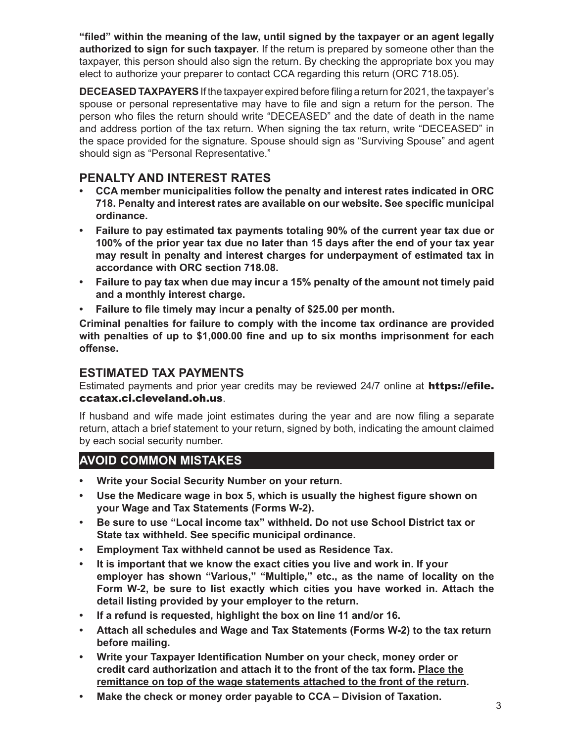**"filed"** within the meaning of the law, until signed by the taxpayer or an agent legally **authorized to sign for such taxpayer.** If the return is prepared by someone other than the taxpayer, this person should also sign the return. By checking the appropriate box you may elect to authorize your preparer to contact CCA regarding this return (ORC 718.05).

**DECEASED TAXPAYERS** If the taxpayer expired before filing a return for 2021, the taxpayer's spouse or personal representative may have to file and sign a return for the person. The person who files the return should write "DECEASED" and the date of death in the name and address portion of the tax return. When signing the tax return, write "DECEASED" in the space provided for the signature. Spouse should sign as "Surviving Spouse" and agent should sign as "Personal Representative."

#### **PENALTY AND INTEREST RATES**

- **CCA member municipalities follow the penalty and interest rates indicated in ORC 718. Penalty and interest rates are available on our website. See specific municipal ordinance.**
- **Failure to pay estimated tax payments totaling 90% of the current year tax due or 100% of the prior year tax due no later than 15 days after the end of your tax year may result in penalty and interest charges for underpayment of estimated tax in accordance with ORC section 718.08.**
- **Failure to pay tax when due may incur a 15% penalty of the amount not timely paid and a monthly interest charge.**
- Failure to file timely may incur a penalty of \$25.00 per month.

**Criminal penalties for failure to comply with the income tax ordinance are provided**  with penalties of up to \$1,000.00 fine and up to six months imprisonment for each offense.

#### **ESTIMATED TAX PAYMENTS**

Estimated payments and prior year credits may be reviewed 24/7 online at https://efile. ccatax.ci.cleveland.oh.us.

If husband and wife made joint estimates during the year and are now filing a separate return, attach a brief statement to your return, signed by both, indicating the amount claimed by each social security number.

### **AVOID COMMON MISTAKES**

- **Write your Social Security Number on your return.**
- Use the Medicare wage in box 5, which is usually the highest figure shown on  **your Wage and Tax Statements (Forms W-2).**
- **Be sure to use "Local income tax" withheld. Do not use School District tax or State tax withheld. See specific municipal ordinance.**
- **Employment Tax withheld cannot be used as Residence Tax.**
- **It is important that we know the exact cities you live and work in. If your**  employer has shown "Various," "Multiple," etc., as the name of locality on the  **Form W-2, be sure to list exactly which cities you have worked in. Attach the detail listing provided by your employer to the return.**
- **If a refund is requested, highlight the box on line 11 and/or 16.**
- **Attach all schedules and Wage and Tax Statements (Forms W-2) to the tax return before mailing.**
- **Write your Taxpayer Identification Number on your check, money order or credit card authorization and attach it to the front of the tax form. Place the remittance on top of the wage statements attached to the front of the return.**
- **Make the check or money order payable to CCA Division of Taxation.** 3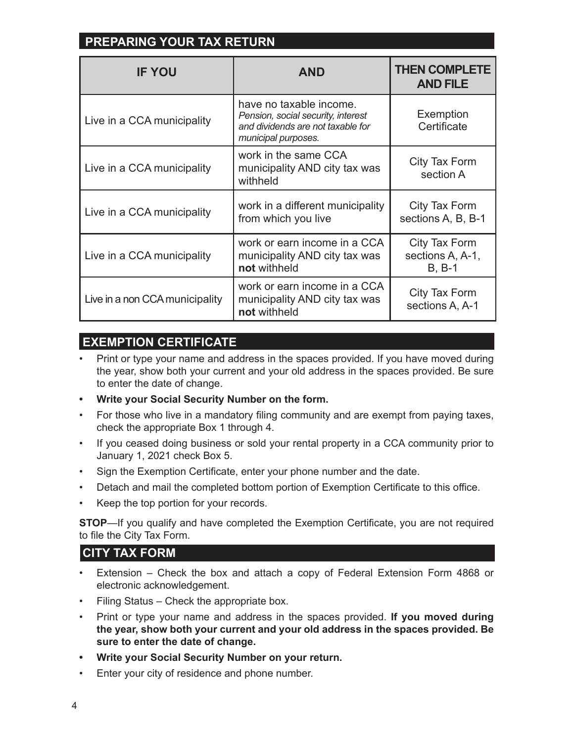# **PREPARING YOUR TAX RETURN**

| <b>IF YOU</b>                  | <b>AND</b>                                                                                                                | <b>THEN COMPLETE</b><br><b>AND FILE</b>       |  |
|--------------------------------|---------------------------------------------------------------------------------------------------------------------------|-----------------------------------------------|--|
| Live in a CCA municipality     | have no taxable income.<br>Pension, social security, interest<br>and dividends are not taxable for<br>municipal purposes. | Exemption<br>Certificate                      |  |
| Live in a CCA municipality     | work in the same CCA<br>municipality AND city tax was<br>withheld                                                         | City Tax Form<br>section A                    |  |
| Live in a CCA municipality     | work in a different municipality<br>from which you live                                                                   | City Tax Form<br>sections A, B, B-1           |  |
| Live in a CCA municipality     | work or earn income in a CCA<br>municipality AND city tax was<br>not withheld                                             | City Tax Form<br>sections A, A-1,<br>$B, B-1$ |  |
| Live in a non CCA municipality | work or earn income in a CCA<br>municipality AND city tax was<br>not withheld                                             | City Tax Form<br>sections A, A-1              |  |

## **EXEMPTION CERTIFICATE**

- Print or type your name and address in the spaces provided. If you have moved during the year, show both your current and your old address in the spaces provided. Be sure to enter the date of change.
- **Write your Social Security Number on the form.**
- For those who live in a mandatory filing community and are exempt from paying taxes, check the appropriate Box 1 through 4.
- If you ceased doing business or sold your rental property in a CCA community prior to January 1, 2021 check Box 5.
- Sign the Exemption Certificate, enter your phone number and the date.
- Detach and mail the completed bottom portion of Exemption Certificate to this office.
- Keep the top portion for your records.

**STOP**—If you qualify and have completed the Exemption Certificate, you are not required to file the City Tax Form.

#### **CITY TAX FORM**

- Extension Check the box and attach a copy of Federal Extension Form 4868 or electronic acknowledgement.
- Filing Status Check the appropriate box.
- Print or type your name and address in the spaces provided. **If you moved during the year, show both your current and your old address in the spaces provided. Be sure to enter the date of change.**
- **Write your Social Security Number on your return.**
- Enter your city of residence and phone number.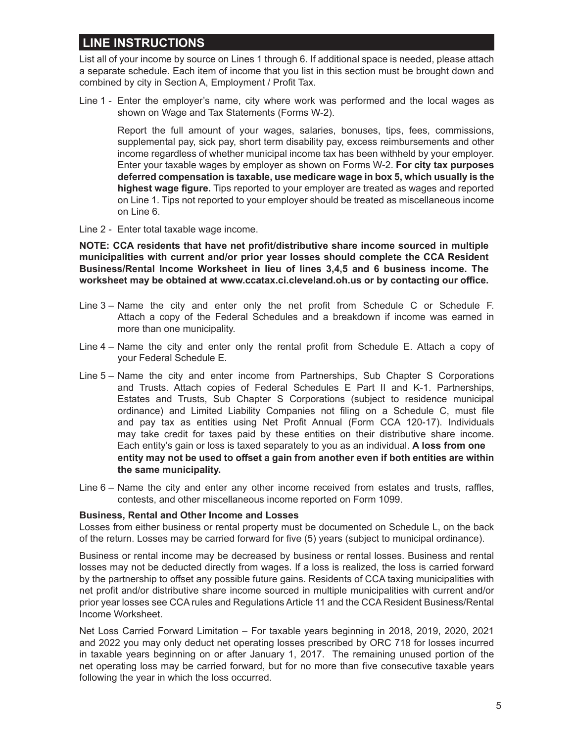#### **LINE INSTRUCTIONS**

List all of your income by source on Lines 1 through 6. If additional space is needed, please attach a separate schedule. Each item of income that you list in this section must be brought down and combined by city in Section A, Employment / Profit Tax.

Line 1 - Enter the employer's name, city where work was performed and the local wages as shown on Wage and Tax Statements (Forms W-2).

Report the full amount of your wages, salaries, bonuses, tips, fees, commissions, supplemental pay, sick pay, short term disability pay, excess reimbursements and other income regardless of whether municipal income tax has been withheld by your employer. Enter your taxable wages by employer as shown on Forms W-2. **For city tax purposes deferred compensation is taxable, use medicare wage in box 5, which usually is the**  highest wage figure. Tips reported to your employer are treated as wages and reported on Line 1. Tips not reported to your employer should be treated as miscellaneous income on Line 6.

Line 2 - Enter total taxable wage income.

**NOTE: CCA residents that have net profit/distributive share income sourced in multiple municipalities with current and/or prior year losses should complete the CCA Resident Business/Rental Income Worksheet in lieu of lines 3,4,5 and 6 business income. The**  worksheet may be obtained at www.ccatax.ci.cleveland.oh.us or by contacting our office.

- Line  $3-$  Name the city and enter only the net profit from Schedule C or Schedule F. Attach a copy of the Federal Schedules and a breakdown if income was earned in more than one municipality.
- Line  $4$  Name the city and enter only the rental profit from Schedule E. Attach a copy of your Federal Schedule E.
- Line 5 Name the city and enter income from Partnerships, Sub Chapter S Corporations and Trusts. Attach copies of Federal Schedules E Part II and K-1. Partnerships, Estates and Trusts, Sub Chapter S Corporations (subject to residence municipal ordinance) and Limited Liability Companies not filing on a Schedule C, must file and pay tax as entities using Net Profit Annual (Form CCA 120-17). Individuals may take credit for taxes paid by these entities on their distributive share income. Each entity's gain or loss is taxed separately to you as an individual. A loss from one entity may not be used to offset a gain from another even if both entities are within  **the same municipality.**
- Line  $6-$  Name the city and enter any other income received from estates and trusts, raffles, contests, and other miscellaneous income reported on Form 1099.

#### **Business, Rental and Other Income and Losses**

Losses from either business or rental property must be documented on Schedule L, on the back of the return. Losses may be carried forward for five (5) years (subject to municipal ordinance).

Business or rental income may be decreased by business or rental losses. Business and rental losses may not be deducted directly from wages. If a loss is realized, the loss is carried forward by the partnership to offset any possible future gains. Residents of CCA taxing municipalities with net profit and/or distributive share income sourced in multiple municipalities with current and/or prior year losses see CCA rules and Regulations Article 11 and the CCA Resident Business/Rental Income Worksheet.

Net Loss Carried Forward Limitation – For taxable years beginning in 2018, 2019, 2020, 2021 and 2022 you may only deduct net operating losses prescribed by ORC 718 for losses incurred in taxable years beginning on or after January 1, 2017. The remaining unused portion of the net operating loss may be carried forward, but for no more than five consecutive taxable years following the year in which the loss occurred.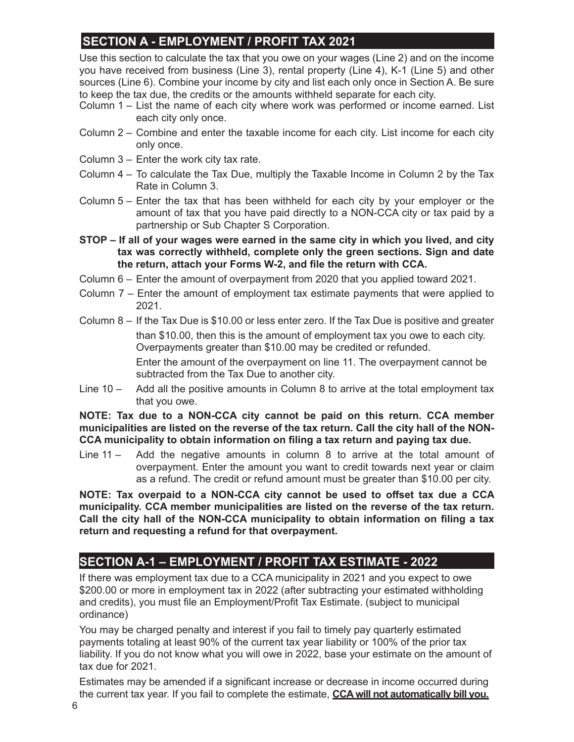# **SECTION A - EMPLOYMENT / PROFIT TAX 2021**

Use this section to calculate the tax that you owe on your wages (Line 2) and on the income you have received from business (Line 3), rental property (Line 4), K-1 (Line 5) and other sources (Line 6). Combine your income by city and list each only once in Section A. Be sure to keep the tax due, the credits or the amounts withheld separate for each city.

- Column 1 List the name of each city where work was performed or income earned. List each city only once.
- Column 2 Combine and enter the taxable income for each city. List income for each city only once.
- Column 3 Enter the work city tax rate.
- Column 4 To calculate the Tax Due, multiply the Taxable Income in Column 2 by the Tax Rate in Column 3.
- Column 5 Enter the tax that has been withheld for each city by your employer or the amount of tax that you have paid directly to a NON-CCA city or tax paid by a partnership or Sub Chapter S Corporation.
- **STOP If all of your wages were earned in the same city in which you lived, and city tax was correctly withheld, complete only the green sections. Sign and date**  the return, attach your Forms W-2, and file the return with CCA.
- Column 6 Enter the amount of overpayment from 2020 that you applied toward 2021.
- Column 7 Enter the amount of employment tax estimate payments that were applied to 2021.
- Column 8 If the Tax Due is \$10.00 or less enter zero. If the Tax Due is positive and greater than \$10.00, then this is the amount of employment tax you owe to each city. Overpayments greater than \$10.00 may be credited or refunded. Enter the amount of the overpayment on line 11. The overpayment cannot be subtracted from the Tax Due to another city.
- Line 10 Add all the positive amounts in Column 8 to arrive at the total employment tax that you owe.

**NOTE: Tax due to a NON-CCA city cannot be paid on this return. CCA member municipalities are listed on the reverse of the tax return. Call the city hall of the NON-** CCA municipality to obtain information on filing a tax return and paying tax due.

Line 11 – Add the negative amounts in column 8 to arrive at the total amount of overpayment. Enter the amount you want to credit towards next year or claim as a refund. The credit or refund amount must be greater than \$10.00 per city.

NOTE: Tax overpaid to a NON-CCA city cannot be used to offset tax due a CCA **municipality. CCA member municipalities are listed on the reverse of the tax return.**  Call the city hall of the NON-CCA municipality to obtain information on filing a tax **return and requesting a refund for that overpayment.**

### **SECTION A-1 – EMPLOYMENT / PROFIT TAX ESTIMATE - 2022**

If there was employment tax due to a CCA municipality in 2021 and you expect to owe \$200.00 or more in employment tax in 2022 (after subtracting your estimated withholding and credits), you must file an Employment/Profit Tax Estimate. (subject to municipal ordinance)

You may be charged penalty and interest if you fail to timely pay quarterly estimated payments totaling at least 90% of the current tax year liability or 100% of the prior tax liability. If you do not know what you will owe in 2022, base your estimate on the amount of tax due for 2021.

Estimates may be amended if a significant increase or decrease in income occurred during the current tax year. If you fail to complete the estimate, **CCA will not automatically bill you.**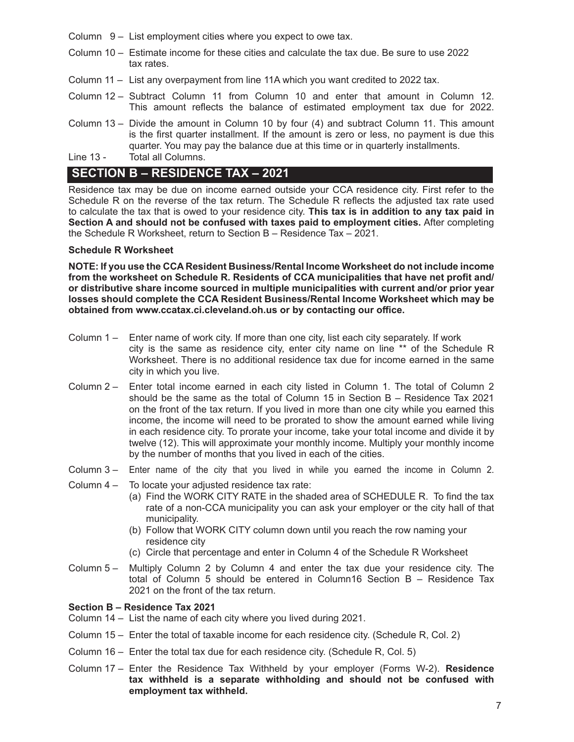- Column 9 List employment cities where you expect to owe tax.
- Column 10 Estimate income for these cities and calculate the tax due. Be sure to use 2022 tax rates.
- Column 11 List any overpayment from line 11A which you want credited to 2022 tax.
- Column 12 Subtract Column 11 from Column 10 and enter that amount in Column 12. This amount reflects the balance of estimated employment tax due for 2022.
- Column 13 Divide the amount in Column 10 by four (4) and subtract Column 11. This amount is the first quarter installment. If the amount is zero or less, no payment is due this quarter. You may pay the balance due at this time or in quarterly installments.
- Line 13 Total all Columns.

#### **SECTION B – RESIDENCE TAX – 2021**

Residence tax may be due on income earned outside your CCA residence city. First refer to the Schedule R on the reverse of the tax return. The Schedule R reflects the adjusted tax rate used to calculate the tax that is owed to your residence city. **This tax is in addition to any tax paid in Section A and should not be confused with taxes paid to employment cities.** After completing the Schedule R Worksheet, return to Section B – Residence Tax – 2021.

#### **Schedule R Worksheet**

**NOTE: If you use the CCA Resident Business/Rental Income Worksheet do not include income**  from the worksheet on Schedule R. Residents of CCA municipalities that have net profit and/ **or distributive share income sourced in multiple municipalities with current and/or prior year losses should complete the CCA Resident Business/Rental Income Worksheet which may be**  obtained from www.ccatax.ci.cleveland.oh.us or by contacting our office.

- Column 1 Enter name of work city. If more than one city, list each city separately. If work city is the same as residence city, enter city name on line \*\* of the Schedule R Worksheet. There is no additional residence tax due for income earned in the same city in which you live.
- Column 2 Enter total income earned in each city listed in Column 1. The total of Column 2 should be the same as the total of Column 15 in Section B – Residence Tax 2021 on the front of the tax return. If you lived in more than one city while you earned this income, the income will need to be prorated to show the amount earned while living in each residence city. To prorate your income, take your total income and divide it by twelve (12). This will approximate your monthly income. Multiply your monthly income by the number of months that you lived in each of the cities.
- Column 3 Enter name of the city that you lived in while you earned the income in Column 2.
- Column 4 To locate your adjusted residence tax rate:
	- (a) Find the WORK CITY RATE in the shaded area of SCHEDULE R. To find the tax rate of a non-CCA municipality you can ask your employer or the city hall of that municipality.
	- (b) Follow that WORK CITY column down until you reach the row naming your residence city
	- (c) Circle that percentage and enter in Column 4 of the Schedule R Worksheet
- Column 5 Multiply Column 2 by Column 4 and enter the tax due your residence city. The total of Column 5 should be entered in Column16 Section B – Residence Tax 2021 on the front of the tax return.

#### **Section B – Residence Tax 2021**

- Column 14 List the name of each city where you lived during 2021.
- Column 15 Enter the total of taxable income for each residence city. (Schedule R, Col. 2)
- Column 16 Enter the total tax due for each residence city. (Schedule R, Col. 5)
- Column 17 Enter the Residence Tax Withheld by your employer (Forms W-2). **Residence tax withheld is a separate withholding and should not be confused with employment tax withheld.**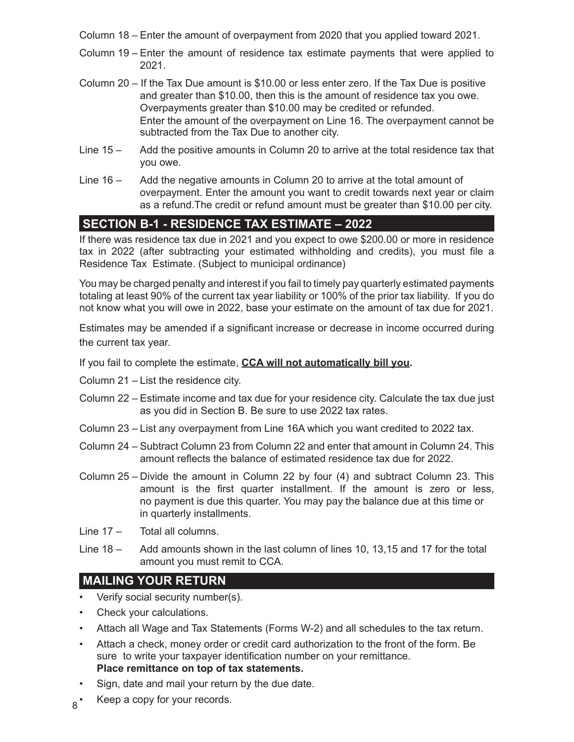- Column 18 Enter the amount of overpayment from 2020 that you applied toward 2021.
- Column 19 Enter the amount of residence tax estimate payments that were applied to 2021.
- Column 20 If the Tax Due amount is \$10.00 or less enter zero. If the Tax Due is positive and greater than \$10.00, then this is the amount of residence tax you owe. Overpayments greater than \$10.00 may be credited or refunded. Enter the amount of the overpayment on Line 16. The overpayment cannot be subtracted from the Tax Due to another city.
- Line 15 Add the positive amounts in Column 20 to arrive at the total residence tax that you owe.
- Line 16 Add the negative amounts in Column 20 to arrive at the total amount of overpayment. Enter the amount you want to credit towards next year or claim as a refund.The credit or refund amount must be greater than \$10.00 per city.

### **SECTION B-1 - RESIDENCE TAX ESTIMATE – 2022**

If there was residence tax due in 2021 and you expect to owe \$200.00 or more in residence tax in 2022 (after subtracting your estimated withholding and credits), you must file a Residence Tax Estimate. (Subject to municipal ordinance)

You may be charged penalty and interest if you fail to timely pay quarterly estimated payments totaling at least 90% of the current tax year liability or 100% of the prior tax liability. If you do not know what you will owe in 2022, base your estimate on the amount of tax due for 2021.

Estimates may be amended if a significant increase or decrease in income occurred during the current tax year.

If you fail to complete the estimate, **CCA will not automatically bill you.** 

- Column 21 List the residence city.
- Column 22 Estimate income and tax due for your residence city. Calculate the tax due just as you did in Section B. Be sure to use 2022 tax rates.
- Column 23 List any overpayment from Line 16A which you want credited to 2022 tax.
- Column 24 Subtract Column 23 from Column 22 and enter that amount in Column 24. This amount reflects the balance of estimated residence tax due for 2022.
- Column 25 Divide the amount in Column 22 by four (4) and subtract Column 23. This amount is the first quarter installment. If the amount is zero or less, no payment is due this quarter. You may pay the balance due at this time or in quarterly installments.
- Line 17 Total all columns.
- Line 18 Add amounts shown in the last column of lines 10, 13,15 and 17 for the total amount you must remit to CCA.

#### **MAILING YOUR RETURN**

- Verify social security number(s).
- Check your calculations.
- Attach all Wage and Tax Statements (Forms W-2) and all schedules to the tax return.
- Attach a check, money order or credit card authorization to the front of the form. Be sure to write your taxpayer identification number on your remittance. **Place remittance on top of tax statements.**
- Sign, date and mail your return by the due date.
- $8^*$  Keep a copy for your records.